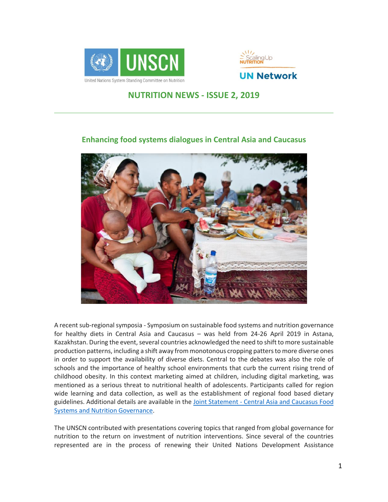



# **NUTRITION NEWS - ISSUE 2, 2019**



### **Enhancing food systems dialogues in Central Asia and Caucasus**

A recent sub-regional symposia - Symposium on sustainable food systems and nutrition governance for healthy diets in Central Asia and Caucasus – was held from 24-26 April 2019 in Astana, Kazakhstan. During the event, several countries acknowledged the need to shift to more sustainable production patterns, including a shift away from monotonous cropping patters to more diverse ones in order to support the availability of diverse diets. Central to the debates was also the role of schools and the importance of healthy school environments that curb the current rising trend of childhood obesity. In this context marketing aimed at children, including digital marketing, was mentioned as a serious threat to nutritional health of adolescents. Participants called for region wide learning and data collection, as well as the establishment of regional food based dietary guidelines. Additional details are available in the Joint Statement - [Central Asia and Caucasus Food](https://www.unscn.org/uploads/web/news/Central-Asia-and-Caucasus-Food-Systems-and-Nutrition-Governance-Statemen....pdf)  [Systems and Nutrition Governance.](https://www.unscn.org/uploads/web/news/Central-Asia-and-Caucasus-Food-Systems-and-Nutrition-Governance-Statemen....pdf)

The UNSCN contributed with presentations covering topics that ranged from global governance for nutrition to the return on investment of nutrition interventions. Since several of the countries represented are in the process of renewing their United Nations Development Assistance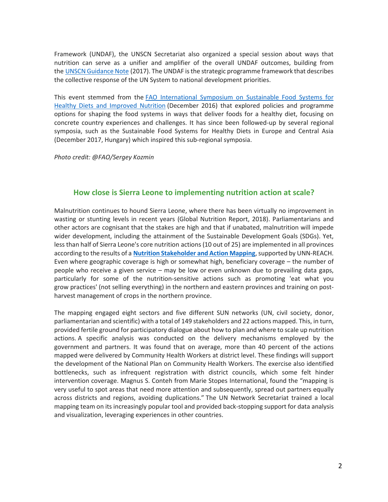Framework (UNDAF), the UNSCN Secretariat also organized a special session about ways that nutrition can serve as a unifier and amplifier of the overall UNDAF outcomes, building from the [UNSCN Guidance Note](https://www.unscn.org/en/resource-center/UNSCN-Publications?idnews=1842) (2017). The UNDAF is the strategic programme framework that describes the collective response of the UN System to national development priorities.

This event stemmed from the [FAO International Symposium on Sustainable Food Systems for](http://www.fao.org/about/meetings/sustainable-food-systems-nutrition-symposium/en/)  [Healthy Diets and Improved Nutrition](http://www.fao.org/about/meetings/sustainable-food-systems-nutrition-symposium/en/) (December 2016) that explored policies and programme options for shaping the food systems in ways that deliver foods for a healthy diet, focusing on concrete country experiences and challenges. It has since been followed-up by several regional symposia, such as the Sustainable Food Systems for Healthy Diets in Europe and Central Asia (December 2017, Hungary) which inspired this sub-regional symposia.

*Photo credit: @FAO/Sergey Kozmin*

### **How close is Sierra Leone to implementing nutrition action at scale?**

Malnutrition continues to hound Sierra Leone, where there has been virtually no improvement in wasting or stunting levels in recent years (Global Nutrition Report, 2018). Parliamentarians and other actors are cognisant that the stakes are high and that if unabated, malnutrition will impede wider development, including the attainment of the Sustainable Development Goals (SDGs). Yet, less than half of Sierra Leone's core nutrition actions (10 out of 25) are implemented in all provinces according to the results of a **Nutrition [Stakeholder](https://www.unnetworkforsun.org/sites/default/files/2019-05/Final%20Sierra%20Leone%20Mapping-National%20%283May2019%29_0.pdf) and Action Mapping**,supported by UNN-REACH. Even where geographic coverage is high or somewhat high, beneficiary coverage – the number of people who receive a given service – may be low or even unknown due to prevailing data gaps, particularly for some of the nutrition-sensitive actions such as promoting 'eat what you grow practices' (not selling everything) in the northern and eastern provinces and training on postharvest management of crops in the northern province.

The mapping engaged eight sectors and five different SUN networks (UN, civil society, donor, parliamentarian and scientific) with a total of 149 stakeholders and 22 actions mapped. This, in turn, provided fertile ground for participatory dialogue about how to plan and where to scale up nutrition actions. A specific analysis was conducted on the delivery mechanisms employed by the government and partners. It was found that on average, more than 40 percent of the actions mapped were delivered by Community Health Workers at district level. These findings will support the development of the National Plan on Community Health Workers. The exercise also identified bottlenecks, such as infrequent registration with district councils, which some felt hinder intervention coverage. Magnus S. Conteh from Marie Stopes International, found the "mapping is very useful to spot areas that need more attention and subsequently, spread out partners equally across districts and regions, avoiding duplications." The UN Network Secretariat trained a local mapping team on its increasingly popular tool and provided back-stopping support for data analysis and visualization, leveraging experiences in other countries.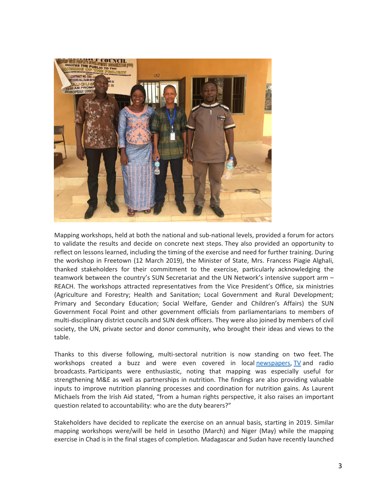

Mapping workshops, held at both the national and sub-national levels, provided a forum for actors to validate the results and decide on concrete next steps. They also provided an opportunity to reflect on lessons learned, including the timing of the exercise and need for further training. During the workshop in Freetown (12 March 2019), the Minister of State, Mrs. Francess Piagie Alghali, thanked stakeholders for their commitment to the exercise, particularly acknowledging the teamwork between the country's SUN Secretariat and the UN Network's intensive support arm – REACH. The workshops attracted representatives from the Vice President's Office, six ministries (Agriculture and Forestry; Health and Sanitation; Local Government and Rural Development; Primary and Secondary Education; Social Welfare, Gender and Children's Affairs) the SUN Government Focal Point and other government officials from parliamentarians to members of multi-disciplinary district councils and SUN desk officers. They were also joined by members of civil society, the UN, private sector and donor community, who brought their ideas and views to the table.

Thanks to this diverse following, multi-sectoral nutrition is now standing on two feet. The workshops created a buzz and were even covered in local [newspapers,](http://www.ayvnewspaper.com/index.php/news/item/6931-sun-validates-2017-nutrition-stakeholders) [TV](https://youtu.be/VVGhWFUrqRY) and radio broadcasts. Participants were enthusiastic, noting that mapping was especially useful for strengthening M&E as well as partnerships in nutrition. The findings are also providing valuable inputs to improve nutrition planning processes and coordination for nutrition gains. As Laurent Michaels from the Irish Aid stated, "from a human rights perspective, it also raises an important question related to accountability: who are the duty bearers?"

Stakeholders have decided to replicate the exercise on an annual basis, starting in 2019. Similar mapping workshops were/will be held in Lesotho (March) and Niger (May) while the mapping exercise in Chad is in the final stages of completion. Madagascar and Sudan have recently launched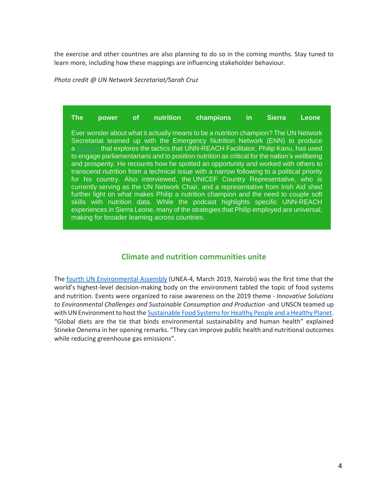the exercise and other countries are also planning to do so in the coming months. Stay tuned to learn more, including how these mappings are influencing stakeholder behaviour.

*Photo credit @ UN Network Secretariat/Sarah Cruz*

**The power of nutrition champions in Sierra Leone**

Ever wonder about what it actually means to be a nutrition champion? The UN Network Secretariat teamed up with the Emergency Nutrition Network (ENN) to produce a [podcast](https://unscn.us14.list-manage.com/track/click?u=29563f1fe06cff1ab8137ee56&id=9a3c373ec6&e=c90a7fd49e) that explores the tactics that UNN-REACH Facilitator, Philip Kanu, has used to engage parliamentarians and to position nutrition as critical for the nation's wellbeing and prosperity. He recounts how he spotted an opportunity and worked with others to transcend nutrition from a technical issue with a narrow following to a political priority for his country. Also interviewed, the UNICEF Country Representative, who is currently serving as the UN Network Chair, and a representative from Irish Aid shed further light on what makes Philip a nutrition champion and the need to couple soft skills with nutrition data. While the podcast highlights specific UNN-REACH experiences in Sierra Leone, many of the strategies that Philip employed are universal, making for broader learning across countries.

### **Climate and nutrition communities unite**

The fourth UN [Environmental](http://web.unep.org/environmentassembly/) Assembly (UNEA-4, March 2019, Nairobi) was the first time that the world's highest-level decision-making body on the environment tabled the topic of food systems and nutrition. Events were organized to raise awareness on the 2019 theme - *Innovative Solutions to Environmental Challenges and Sustainable Consumption and Production* -and UNSCN teamed up with UN Environment to host the Sustainable Food Systems for Healthy People and a Healthy Planet. "Global diets are the tie that binds environmental sustainability and human health" explained Stineke Oenema in her opening remarks. "They can improve public health and nutritional outcomes while reducing greenhouse gas emissions".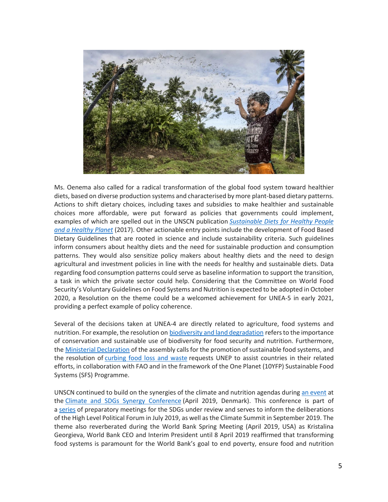

Ms. Oenema also called for a radical transformation of the global food system toward healthier diets, based on diverse production systems and characterised by more plant-based dietary patterns. Actions to shift dietary choices, including taxes and subsidies to make healthier and sustainable choices more affordable, were put forward as policies that governments could implement, examples of which are spelled out in the UNSCN publication *[Sustainable](https://unscn.us14.list-manage.com/track/click?u=29563f1fe06cff1ab8137ee56&id=8ec439facc&e=c90a7fd49e) Diets for Healthy People and a [Healthy](https://unscn.us14.list-manage.com/track/click?u=29563f1fe06cff1ab8137ee56&id=8ec439facc&e=c90a7fd49e) Planet* (2017). Other actionable entry points include the development of Food Based Dietary Guidelines that are rooted in science and include sustainability criteria. Such guidelines inform consumers about healthy diets and the need for sustainable production and consumption patterns. They would also sensitize policy makers about healthy diets and the need to design agricultural and investment policies in line with the needs for healthy and sustainable diets. Data regarding food consumption patterns could serve as baseline information to support the transition, a task in which the private sector could help. Considering that the Committee on World Food Security's Voluntary Guidelines on Food Systems and Nutrition is expected to be adopted in October 2020, a Resolution on the theme could be a welcomed achievement for UNEA-5 in early 2021, providing a perfect example of policy coherence.

Several of the decisions taken at UNEA-4 are directly related to agriculture, food systems and nutrition. For example, the resolution on biodiversity and land [degradation](https://papersmart.unon.org/resolution/uploads/k1900855.pdf#overlay-context=node/230) refersto the importance of conservation and sustainable use of biodiversity for food security and nutrition. Furthermore, the Ministerial [Declaration](http://wedocs.unep.org/bitstream/handle/20.500.11822/27701/Draft%20Ministerial%20Declaration%20Fifth%20Draft%20as%20of%2014.03.2019.pdf?sequence=1&isAllowed=y) of the assembly calls for the promotion of sustainable food systems, and the resolution of [curbing](https://papersmart.unon.org/resolution/uploads/k1900867.pdf#overlay-context=node/234) food loss and waste requests UNEP to assist countries in their related efforts, in collaboration with FAO and in the framework of the One Planet (10YFP) Sustainable Food Systems (SFS) Programme.

UNSCN continued to build on the synergies of the climate and nutrition agendas during an [event](https://www.unscn.org/uploads/web/news/document/Flyer-ClimateConference-mar2019-WEB.pdf) at the Climate and SDGs Synergy [Conference](https://sustainabledevelopment.un.org/climate-sdgs-synergies2019) (April 2019, Denmark). This conference is part of a [series](https://sustainabledevelopment.un.org/hlpf/2019#preparation) of preparatory meetings for the SDGs under review and serves to inform the deliberations of the High Level Political Forum in July 2019, as well as the Climate Summit in September 2019. The theme also reverberated during the World Bank Spring Meeting (April 2019, USA) as Kristalina Georgieva, World Bank CEO and Interim President until 8 April 2019 reaffirmed that transforming food systems is paramount for the World Bank's goal to end poverty, ensure food and nutrition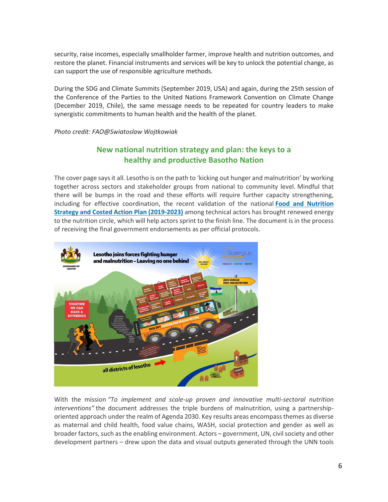security, raise incomes, especially smallholder farmer, improve health and nutrition outcomes, and restore the planet. Financial instruments and services will be key to unlock the potential change, as can support the use of responsible agriculture methods.

During the SDG and Climate Summits (September 2019, USA) and again, during the 25th session of the Conference of the Parties to the United Nations Framework Convention on Climate Change (December 2019, Chile), the same message needs to be repeated for country leaders to make synergistic commitments to human health and the health of the planet.

*Photo credit: FAO@Swiatoslaw Wojtkowiak*

# **New national nutrition strategy and plan: the keys to a healthy and productive Basotho Nation**

The cover page says it all. Lesotho is on the path to 'kicking out hunger and malnutrition' by working together across sectors and stakeholder groups from national to community level. Mindful that there will be bumps in the road and these efforts will require further capacity strengthening, including for effective coordination, the recent validation of the national **[Food and Nutrition](https://www.unnetworkforsun.org/sites/default/files/documents/files/Lesotho%20Food%20%26%20Nutrition%20Security%20Strategy%20%26%20Costed%20Action%20Plan%20%2825Mar2019%29-Posted.pdf)  [Strategy and Costed Action Plan \(2019-2023\)](https://www.unnetworkforsun.org/sites/default/files/documents/files/Lesotho%20Food%20%26%20Nutrition%20Security%20Strategy%20%26%20Costed%20Action%20Plan%20%2825Mar2019%29-Posted.pdf)** among technical actors has brought renewed energy to the nutrition circle, which will help actors sprint to the finish line. The document is in the process of receiving the final government endorsements as per official protocols.



With the mission *"To implement and scale-up proven and innovative multi-sectoral nutrition interventions"* the document addresses the triple burdens of malnutrition, using a partnershiporiented approach under the realm of Agenda 2030. Key results areas encompass themes as diverse as maternal and child health, food value chains, WASH, social protection and gender as well as broader factors, such as the enabling environment. Actors – government, UN, civil society and other development partners – drew upon the data and visual outputs generated through the UNN tools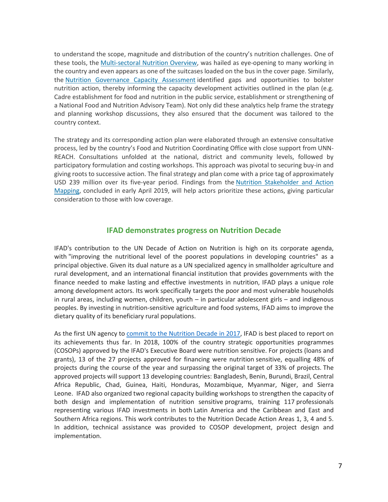to understand the scope, magnitude and distribution of the country's nutrition challenges. One of these tools, the [Multi-sectoral Nutrition Overview,](https://www.unnetworkforsun.org/sites/default/files/2018-10/MNO%20Lesotho-Posted.pdf) was hailed as eye-opening to many working in the country and even appears as one of the suitcases loaded on the bus in the cover page. Similarly, the [Nutrition Governance Capacity Assessment](https://www.unnetworkforsun.org/sites/default/files/2018-12/Lesotho%20Capacity%20Assessment%20REPORT-15May2018.pdf) identified gaps and opportunities to bolster nutrition action, thereby informing the capacity development activities outlined in the plan (e.g. Cadre establishment for food and nutrition in the public service, establishment or strengthening of a National Food and Nutrition Advisory Team). Not only did these analytics help frame the strategy and planning workshop discussions, they also ensured that the document was tailored to the country context.

The strategy and its corresponding action plan were elaborated through an extensive consultative process, led by the country's Food and Nutrition Coordinating Office with close support from UNN-REACH. Consultations unfolded at the national, district and community levels, followed by participatory formulation and costing workshops. This approach was pivotal to securing buy-in and giving roots to successive action. The final strategy and plan come with a price tag of approximately USD 239 million over its five-year period. Findings from the [Nutrition Stakeholder and Action](https://www.unnetworkforsun.org/sites/default/files/2019-05/Lesotho%20Mapping%204%20posting%20%283May2019%29.pdf)  [Mapping,](https://www.unnetworkforsun.org/sites/default/files/2019-05/Lesotho%20Mapping%204%20posting%20%283May2019%29.pdf) concluded in early April 2019, will help actors prioritize these actions, giving particular consideration to those with low coverage.

### **IFAD demonstrates progress on Nutrition Decade**

IFAD's contribution to the UN Decade of Action on Nutrition is high on its corporate agenda, with "improving the nutritional level of the poorest populations in developing countries" as a principal objective. Given its dual nature as a UN specialized agency in smallholder agriculture and rural development, and an international financial institution that provides governments with the finance needed to make lasting and effective investments in nutrition, IFAD plays a unique role among development actors. Its work specifically targets the poor and most vulnerable households in rural areas, including women, children, youth – in particular adolescent girls – and indigenous peoples. By investing in nutrition-sensitive agriculture and food systems, IFAD aims to improve the dietary quality of its beneficiary rural populations.

As the first UN agency to commit to the [Nutrition](https://www.unscn.org/en/topics/un-decade-of-action-on-nutrition?idnews=1686) Decade in 2017, IFAD is best placed to report on its achievements thus far. In 2018, 100% of the country strategic opportunities programmes (COSOPs) approved by the IFAD's Executive Board were nutrition sensitive. For projects (loans and grants), 13 of the 27 projects approved for financing were nutrition sensitive, equalling 48% of projects during the course of the year and surpassing the original target of 33% of projects. The approved projects will support 13 developing countries: Bangladesh, Benin, Burundi, Brazil, Central Africa Republic, Chad, Guinea, Haiti, Honduras, Mozambique, Myanmar, Niger, and Sierra Leone. IFAD also organized two regional capacity building workshops to strengthen the capacity of both design and implementation of nutrition sensitive programs, training 117 professionals representing various IFAD investments in both Latin America and the Caribbean and East and Southern Africa regions. This work contributes to the Nutrition Decade Action Areas 1, 3, 4 and 5. In addition, technical assistance was provided to COSOP development, project design and implementation.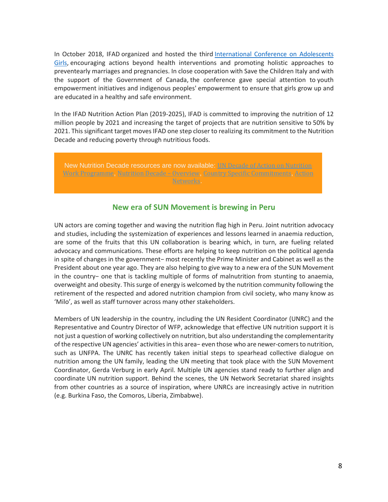In October 2018, IFAD organized and hosted the third [International](https://www.ifad.org/en/web/latest/event/asset/40767280) Conference on Adolescents [Girls,](https://www.ifad.org/en/web/latest/event/asset/40767280) encouraging actions beyond health interventions and promoting holistic approaches to preventearly marriages and pregnancies. In close cooperation with Save the Children Italy and with the support of the Government of Canada, the conference gave special attention to youth empowerment initiatives and indigenous peoples' empowerment to ensure that girls grow up and are educated in a healthy and safe environment.

In the IFAD Nutrition Action Plan (2019-2025), IFAD is committed to improving the nutrition of 12 million people by 2021 and increasing the target of projects that are nutrition sensitive to 50% by 2021. Thissignificant target moves IFAD one step closer to realizing its commitment to the Nutrition Decade and reducing poverty through nutritious foods.

New Nutrition Decade resources are now available: UN Decade of Action on [Nutrition](https://unscn.us14.list-manage.com/track/click?u=29563f1fe06cff1ab8137ee56&id=794defa42c&e=c90a7fd49e) Work [Programme](https://unscn.us14.list-manage.com/track/click?u=29563f1fe06cff1ab8137ee56&id=794defa42c&e=c90a7fd49e), Nutrition Decade – [Overview](https://unscn.us14.list-manage.com/track/click?u=29563f1fe06cff1ab8137ee56&id=02f51d5dff&e=c90a7fd49e), Country Specific [Commitments](https://unscn.us14.list-manage.com/track/click?u=29563f1fe06cff1ab8137ee56&id=987c793d5f&e=c90a7fd49e), [Action](https://unscn.us14.list-manage.com/track/click?u=29563f1fe06cff1ab8137ee56&id=d338464e82&e=c90a7fd49e) [Networks](https://unscn.us14.list-manage.com/track/click?u=29563f1fe06cff1ab8137ee56&id=d338464e82&e=c90a7fd49e).

### **New era of SUN Movement is brewing in Peru**

UN actors are coming together and waving the nutrition flag high in Peru. Joint nutrition advocacy and studies, including the systemization of experiences and lessons learned in anaemia reduction, are some of the fruits that this UN collaboration is bearing which, in turn, are fueling related advocacy and communications. These efforts are helping to keep nutrition on the political agenda in spite of changes in the government− most recently the Prime Minister and Cabinet as well as the President about one year ago. They are also helping to give way to a new era of the SUN Movement in the country− one that is tackling multiple of forms of malnutrition from stunting to anaemia, overweight and obesity. This surge of energy is welcomed by the nutrition community following the retirement of the respected and adored nutrition champion from civil society, who many know as 'Milo', as well as staff turnover across many other stakeholders.

Members of UN leadership in the country, including the UN Resident Coordinator (UNRC) and the Representative and Country Director of WFP, acknowledge that effective UN nutrition support it is not just a question of working collectively on nutrition, but also understanding the complementarity of the respective UN agencies' activitiesin this area− even those who are newer-comersto nutrition, such as UNFPA. The UNRC has recently taken initial steps to spearhead collective dialogue on nutrition among the UN family, leading the UN meeting that took place with the SUN Movement Coordinator, Gerda Verburg in early April. Multiple UN agencies stand ready to further align and coordinate UN nutrition support. Behind the scenes, the UN Network Secretariat shared insights from other countries as a source of inspiration, where UNRCs are increasingly active in nutrition (e.g. Burkina Faso, the Comoros, Liberia, Zimbabwe).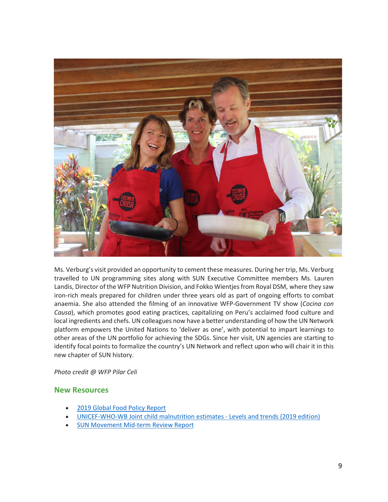

Ms. Verburg's visit provided an opportunity to cement these measures. During her trip, Ms. Verburg travelled to UN programming sites along with SUN Executive Committee members Ms. Lauren Landis, Director of the WFP Nutrition Division, and Fokko Wientjesfrom Royal DSM, where they saw iron-rich meals prepared for children under three years old as part of ongoing efforts to combat anaemia. She also attended the filming of an innovative WFP-Government TV show (*Cocina con Causa*), which promotes good eating practices, capitalizing on Peru's acclaimed food culture and local ingredients and chefs. UN colleagues now have a better understanding of how the UN Network platform empowers the United Nations to 'deliver as one', with potential to impart learnings to other areas of the UN portfolio for achieving the SDGs. Since her visit, UN agencies are starting to identify focal points to formalize the country's UN Network and reflect upon who will chair it in this new chapter of SUN history.

*Photo credit @ WFP Pilar Celi*

### **New Resources**

- 2019 Global Food Policy [Report](https://unscn.us14.list-manage.com/track/click?u=29563f1fe06cff1ab8137ee56&id=c7240faf81&e=c90a7fd49e)
- [UNICEF-WHO-WB](https://unscn.us14.list-manage.com/track/click?u=29563f1fe06cff1ab8137ee56&id=102a0aac9a&e=c90a7fd49e) Joint child malnutrition estimates Levels and trends (2019 edition)
- **SUN [Movement](https://unscn.us14.list-manage.com/track/click?u=29563f1fe06cff1ab8137ee56&id=c05e88e521&e=c90a7fd49e) Mid-term Review Report**